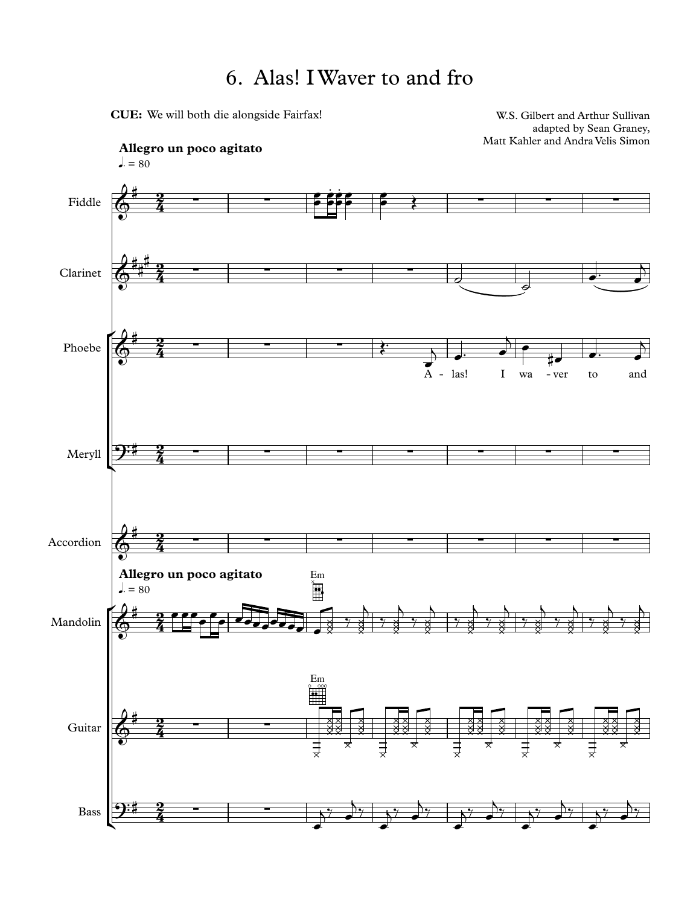## 6. Alas! I Waver to and fro

CUE: We will both die alongside Fairfax!

W.S. Gilbert and Arthur Sullivan adapted by Sean Graney, Matt Kahler and Andra Velis Simon

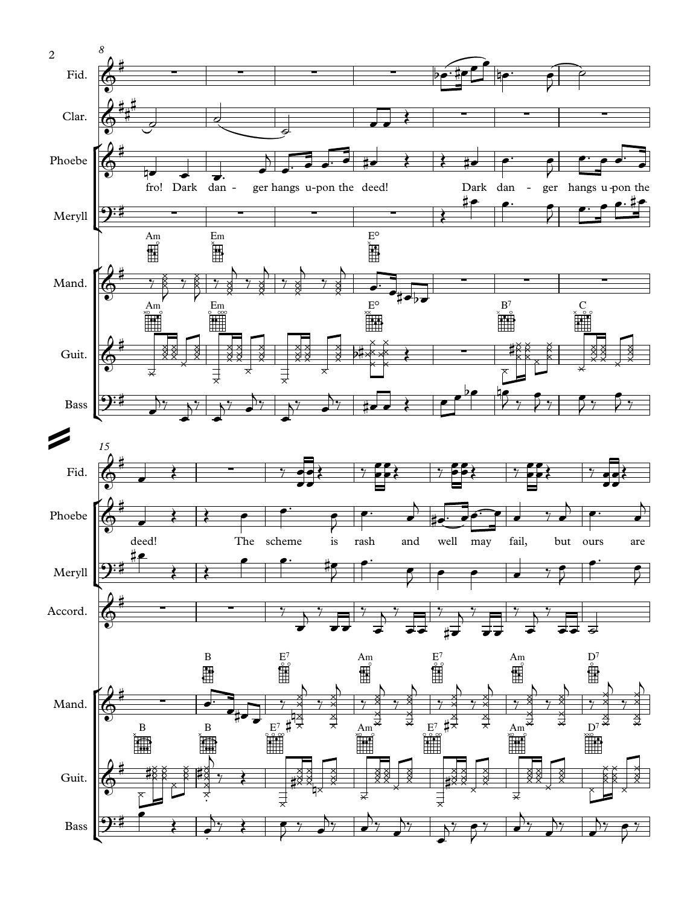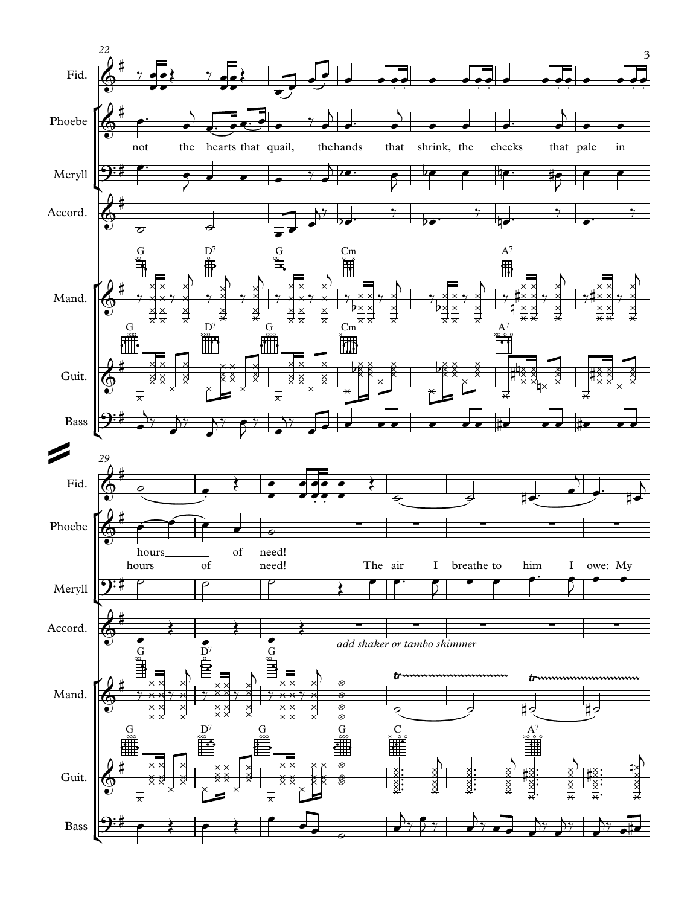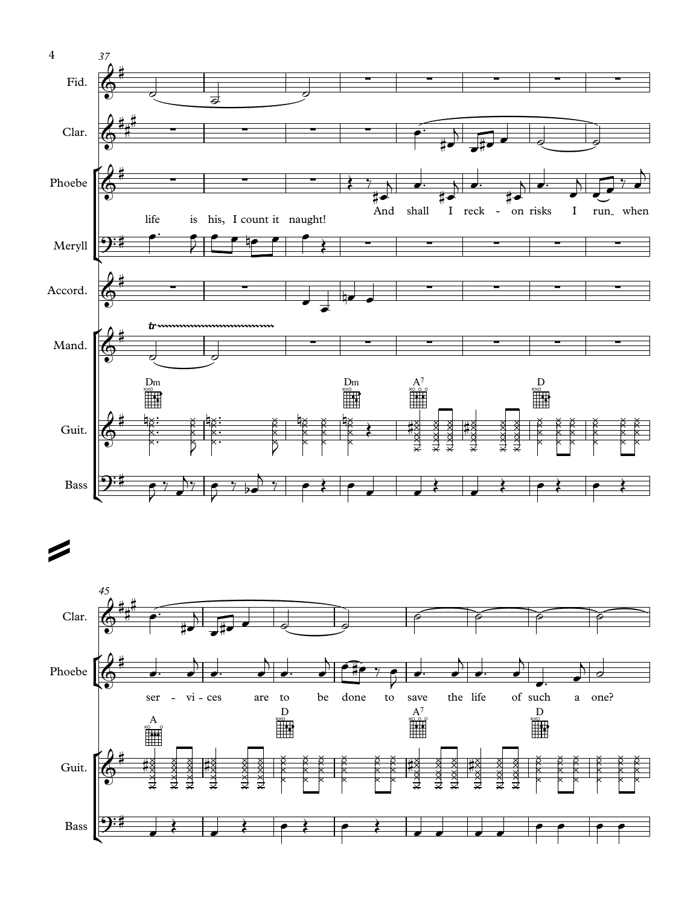

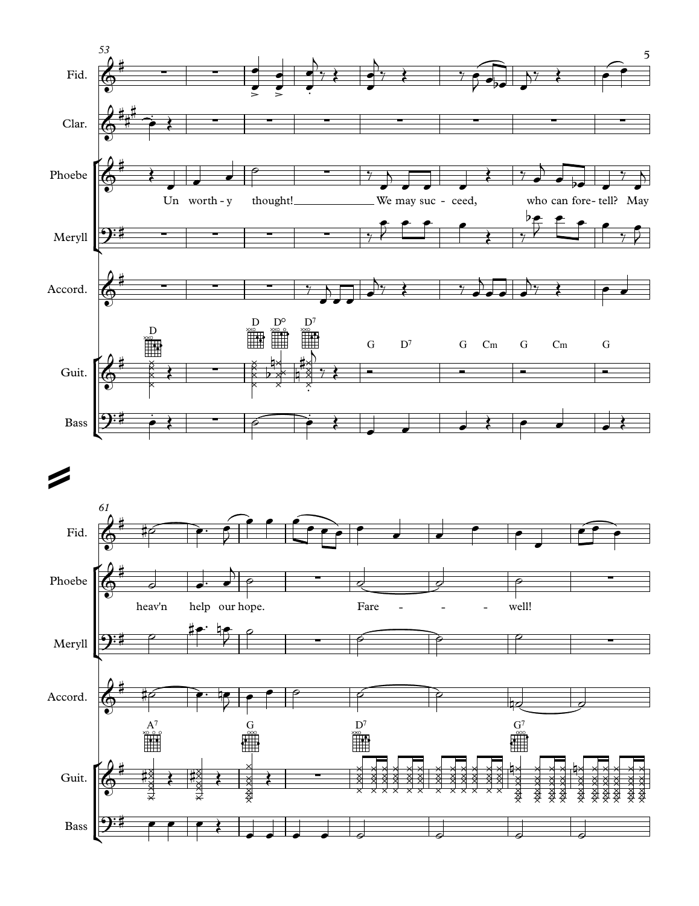